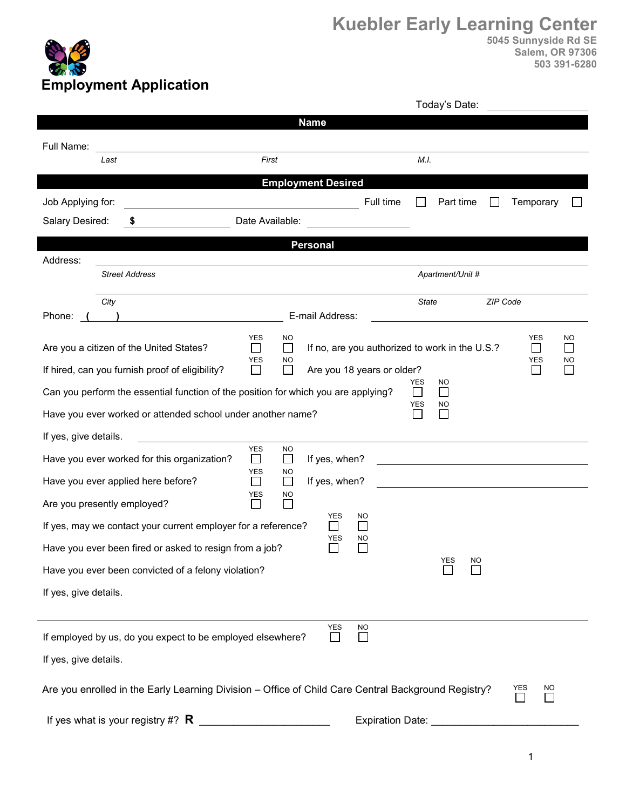

|                                                                                                                  |                                                         | Today's Date:                                      |                                             |  |
|------------------------------------------------------------------------------------------------------------------|---------------------------------------------------------|----------------------------------------------------|---------------------------------------------|--|
|                                                                                                                  | <b>Name</b>                                             |                                                    |                                             |  |
| Full Name:                                                                                                       |                                                         |                                                    |                                             |  |
| Last                                                                                                             | First                                                   | M.I.                                               |                                             |  |
| <b>Employment Desired</b>                                                                                        |                                                         |                                                    |                                             |  |
| Job Applying for:                                                                                                |                                                         | Full time<br>Part time                             | Temporary                                   |  |
| Salary Desired:<br>\$                                                                                            | Date Available:                                         |                                                    |                                             |  |
| <b>Personal</b>                                                                                                  |                                                         |                                                    |                                             |  |
| Address:                                                                                                         |                                                         |                                                    |                                             |  |
| <b>Street Address</b>                                                                                            |                                                         | Apartment/Unit #                                   |                                             |  |
| City                                                                                                             |                                                         | <b>State</b>                                       | ZIP Code                                    |  |
| Phone:<br><u> 1980 - Johann Barbara, martxa al</u>                                                               | E-mail Address:                                         |                                                    |                                             |  |
| Are you a citizen of the United States?                                                                          | <b>YES</b><br>NO.<br>$\Box$<br>$\mathbf{I}$             | If no, are you authorized to work in the U.S.?     | <b>YES</b><br><b>NO</b><br>$\Box$<br>$\Box$ |  |
| If hired, can you furnish proof of eligibility?                                                                  | <b>YES</b><br>NO<br>$\Box$                              | Are you 18 years or older?                         | YES<br>NO<br>$\overline{\phantom{0}}$       |  |
| Can you perform the essential function of the position for which you are applying?                               |                                                         | <b>YES</b><br><b>NO</b><br>$\Box$                  |                                             |  |
| Have you ever worked or attended school under another name?                                                      |                                                         | YES<br>NO                                          |                                             |  |
| If yes, give details.                                                                                            |                                                         |                                                    |                                             |  |
| Have you ever worked for this organization?                                                                      | <b>YES</b><br>NO.<br>If yes, when?<br>⊔<br>$\mathbf{L}$ | <u> 1980 - John Stein, Amerikaansk politiker (</u> |                                             |  |
| Have you ever applied here before?                                                                               | <b>YES</b><br>NO.<br>If yes, when?<br>$\Box$<br>П       |                                                    |                                             |  |
| Are you presently employed?                                                                                      | YES<br>NO<br>$\mathbf{L}$<br><b>YES</b>                 |                                                    |                                             |  |
| If yes, may we contact your current employer for a reference?                                                    | $\mathsf{L}$<br>YES                                     | <b>NO</b><br><b>NO</b>                             |                                             |  |
| Have you ever been fired or asked to resign from a job?                                                          |                                                         | YES<br>NO                                          |                                             |  |
| Have you ever been convicted of a felony violation?                                                              |                                                         |                                                    |                                             |  |
| If yes, give details.                                                                                            |                                                         |                                                    |                                             |  |
|                                                                                                                  |                                                         |                                                    |                                             |  |
| If employed by us, do you expect to be employed elsewhere?                                                       | <b>YES</b><br>$\overline{\phantom{a}}$                  | <b>NO</b>                                          |                                             |  |
| If yes, give details.                                                                                            |                                                         |                                                    |                                             |  |
| YES<br>Are you enrolled in the Early Learning Division - Office of Child Care Central Background Registry?<br>NO |                                                         |                                                    |                                             |  |
| If yes what is your registry #? $\mathsf R$                                                                      |                                                         | <b>Expiration Date:</b>                            |                                             |  |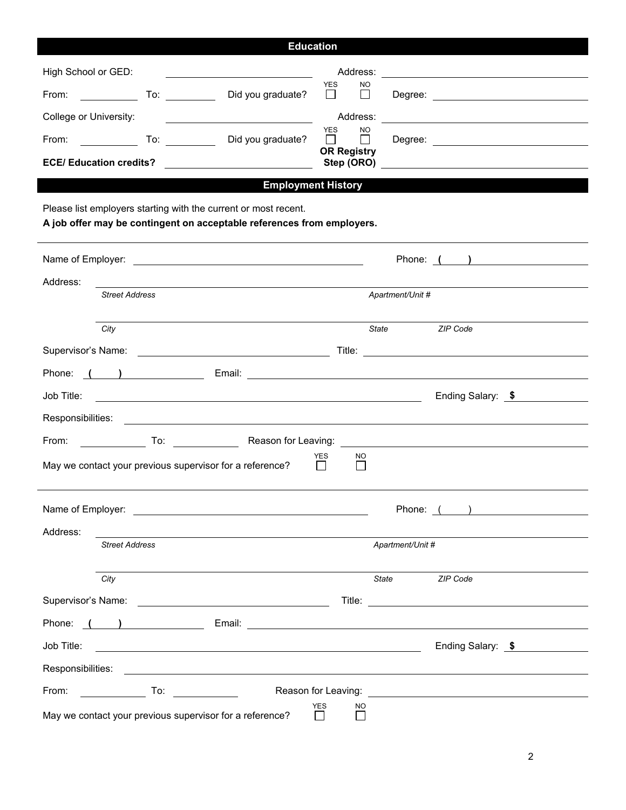| <b>Education</b>                                                                                                                                                                                                                                                                                                                                                                                                                                                                                              |                                                                                                                                                                                                                                      |  |  |  |
|---------------------------------------------------------------------------------------------------------------------------------------------------------------------------------------------------------------------------------------------------------------------------------------------------------------------------------------------------------------------------------------------------------------------------------------------------------------------------------------------------------------|--------------------------------------------------------------------------------------------------------------------------------------------------------------------------------------------------------------------------------------|--|--|--|
| High School or GED:<br><u> 1989 - Johann Barbara, martin amerikan basar da</u>                                                                                                                                                                                                                                                                                                                                                                                                                                |                                                                                                                                                                                                                                      |  |  |  |
| Did you graduate?<br>From:<br><u>and the state of the state of the state of the state of the state of the state of the state of the state of the state of the state of the state of the state of the state of the state of the state of the state of the state</u>                                                                                                                                                                                                                                            | <b>YES</b><br>NO.<br>$\Box$<br>$\mathcal{L}_{\mathcal{A}}$                                                                                                                                                                           |  |  |  |
| College or University:                                                                                                                                                                                                                                                                                                                                                                                                                                                                                        | Address:                                                                                                                                                                                                                             |  |  |  |
| $\overline{\phantom{a}}$ $\overline{\phantom{a}}$ $\overline{\phantom{a}}$ $\overline{\phantom{a}}$ $\overline{\phantom{a}}$ $\overline{\phantom{a}}$ $\overline{\phantom{a}}$ $\overline{\phantom{a}}$ $\overline{\phantom{a}}$ $\overline{\phantom{a}}$ $\overline{\phantom{a}}$ $\overline{\phantom{a}}$ $\overline{\phantom{a}}$ $\overline{\phantom{a}}$ $\overline{\phantom{a}}$ $\overline{\phantom{a}}$ $\overline{\phantom{a}}$ $\overline{\phantom{a}}$ $\overline{\$<br>From:<br>Did you graduate? | <b>YES</b><br><b>NO</b><br>$\perp$<br>$\perp$                                                                                                                                                                                        |  |  |  |
| <b>ECE/ Education credits?</b><br><u> 1989 - Andrea Angel, amerikansk politik (</u>                                                                                                                                                                                                                                                                                                                                                                                                                           | <b>OR Registry</b><br>Step (ORO)                                                                                                                                                                                                     |  |  |  |
| <b>Employment History</b>                                                                                                                                                                                                                                                                                                                                                                                                                                                                                     |                                                                                                                                                                                                                                      |  |  |  |
| Please list employers starting with the current or most recent.<br>A job offer may be contingent on acceptable references from employers.                                                                                                                                                                                                                                                                                                                                                                     |                                                                                                                                                                                                                                      |  |  |  |
|                                                                                                                                                                                                                                                                                                                                                                                                                                                                                                               | Phone: ( )                                                                                                                                                                                                                           |  |  |  |
| Address:                                                                                                                                                                                                                                                                                                                                                                                                                                                                                                      |                                                                                                                                                                                                                                      |  |  |  |
| <b>Street Address</b>                                                                                                                                                                                                                                                                                                                                                                                                                                                                                         | Apartment/Unit #                                                                                                                                                                                                                     |  |  |  |
| City                                                                                                                                                                                                                                                                                                                                                                                                                                                                                                          | ZIP Code<br>State                                                                                                                                                                                                                    |  |  |  |
|                                                                                                                                                                                                                                                                                                                                                                                                                                                                                                               | Title: <u>the contract of the contract of the contract of the contract of the contract of the contract of the contract of the contract of the contract of the contract of the contract of the contract of the contract of the co</u> |  |  |  |
| Phone: ( ) Email: 2008 Email: 2008 Email: 2008 Phone: 2008 Phone: 2008 Phone: 2008 Phone: 2008 Phone: 2008 Phone: 2008 Phone: 2008 Phone: 2008 Phone: 2008 Phone: 2008 Phone: 2008 Phone: 2008 Phone: 2008 Phone: 2008 Phone:                                                                                                                                                                                                                                                                                 |                                                                                                                                                                                                                                      |  |  |  |
| Job Title:                                                                                                                                                                                                                                                                                                                                                                                                                                                                                                    | Ending Salary: \$                                                                                                                                                                                                                    |  |  |  |
| Responsibilities:                                                                                                                                                                                                                                                                                                                                                                                                                                                                                             |                                                                                                                                                                                                                                      |  |  |  |
| <b>Example 2018</b> To: The Reason for Leaving: The Contract of The Contract of The Contract of The Contract of The Contract of The Contract of The Contract of The Contract of The Contract of The Contract of The Contract of The<br>From:                                                                                                                                                                                                                                                                  |                                                                                                                                                                                                                                      |  |  |  |
| <b>YES</b><br>NO.<br>May we contact your previous supervisor for a reference?                                                                                                                                                                                                                                                                                                                                                                                                                                 |                                                                                                                                                                                                                                      |  |  |  |
|                                                                                                                                                                                                                                                                                                                                                                                                                                                                                                               | Phone: ( )                                                                                                                                                                                                                           |  |  |  |
| Address:                                                                                                                                                                                                                                                                                                                                                                                                                                                                                                      |                                                                                                                                                                                                                                      |  |  |  |
| <b>Street Address</b>                                                                                                                                                                                                                                                                                                                                                                                                                                                                                         | Apartment/Unit #                                                                                                                                                                                                                     |  |  |  |
| City                                                                                                                                                                                                                                                                                                                                                                                                                                                                                                          | ZIP Code<br>State                                                                                                                                                                                                                    |  |  |  |
|                                                                                                                                                                                                                                                                                                                                                                                                                                                                                                               |                                                                                                                                                                                                                                      |  |  |  |
|                                                                                                                                                                                                                                                                                                                                                                                                                                                                                                               |                                                                                                                                                                                                                                      |  |  |  |
| Job Title:                                                                                                                                                                                                                                                                                                                                                                                                                                                                                                    | Ending Salary: \$                                                                                                                                                                                                                    |  |  |  |
| Responsibilities:                                                                                                                                                                                                                                                                                                                                                                                                                                                                                             |                                                                                                                                                                                                                                      |  |  |  |
| From:<br><b>Example 2</b> To:                                                                                                                                                                                                                                                                                                                                                                                                                                                                                 |                                                                                                                                                                                                                                      |  |  |  |
| <b>YES</b><br>NO.<br>May we contact your previous supervisor for a reference?<br>П.<br>$\perp$                                                                                                                                                                                                                                                                                                                                                                                                                |                                                                                                                                                                                                                                      |  |  |  |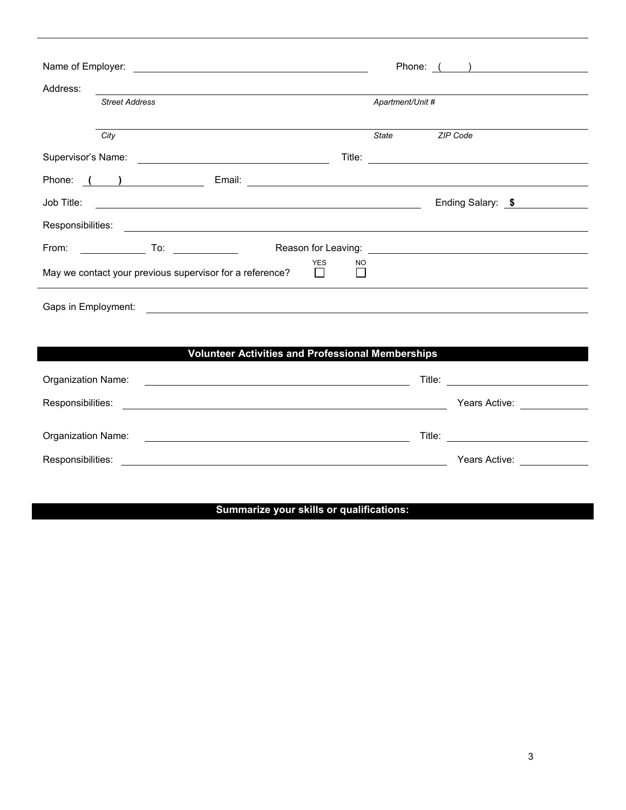|                                                                                                                                                                                                                                      | Phone: ( )                                                                                                                                                                                                                     |  |  |  |
|--------------------------------------------------------------------------------------------------------------------------------------------------------------------------------------------------------------------------------------|--------------------------------------------------------------------------------------------------------------------------------------------------------------------------------------------------------------------------------|--|--|--|
| Address:                                                                                                                                                                                                                             |                                                                                                                                                                                                                                |  |  |  |
| <b>Street Address</b>                                                                                                                                                                                                                | Apartment/Unit #                                                                                                                                                                                                               |  |  |  |
|                                                                                                                                                                                                                                      |                                                                                                                                                                                                                                |  |  |  |
| City                                                                                                                                                                                                                                 | State ZIP Code                                                                                                                                                                                                                 |  |  |  |
|                                                                                                                                                                                                                                      |                                                                                                                                                                                                                                |  |  |  |
| Phone: ( ) Email: 2008 Email: 2008 Email: 2008 Phone: 2008 Phone: 2008 Phone: 2008 Phone: 2008 Phone: 2008 Phone: 2008 Phone: 2008 Phone: 2008 Phone: 2008 Phone: 2008 Phone: 2008 Phone: 2008 Phone: 2008 Phone: 2008 Phone:        |                                                                                                                                                                                                                                |  |  |  |
| Job Title:<br><u> 1990 - Johann Stoff, amerikansk politiker (d. 1980)</u>                                                                                                                                                            | Ending Salary: \$                                                                                                                                                                                                              |  |  |  |
| Responsibilities:                                                                                                                                                                                                                    | <u> Andreas Andreas Andreas Andreas Andreas Andreas Andreas Andreas Andreas Andreas Andreas Andreas Andreas Andr</u>                                                                                                           |  |  |  |
|                                                                                                                                                                                                                                      |                                                                                                                                                                                                                                |  |  |  |
| <b>YES</b><br>NO.<br>May we contact your previous supervisor for a reference?<br>$\Box$                                                                                                                                              |                                                                                                                                                                                                                                |  |  |  |
| Gaps in Employment: <u>example and contract and contract and contract and contract and contract and contract and contract and contract and contract and contract and contract and contract and contract and contract and contrac</u> |                                                                                                                                                                                                                                |  |  |  |
|                                                                                                                                                                                                                                      |                                                                                                                                                                                                                                |  |  |  |
| <b>Volunteer Activities and Professional Memberships</b>                                                                                                                                                                             |                                                                                                                                                                                                                                |  |  |  |
| Organization Name:<br><u> 1989 - Johann John Stein, markin fan it ferstjer fan it ferstjer fan it ferstjer fan it ferstjer fan it fers</u>                                                                                           | Title: Title: Title: The Communication of the Communication of the Communication of the Communication of the Communication of the Communication of the Communication of the Communication of the Communication of the Communic |  |  |  |
|                                                                                                                                                                                                                                      | Years Active: <u>____________</u>                                                                                                                                                                                              |  |  |  |
| Organization Name: <u>contract and contract and contract and contract and contract of the contract of the contract of the contract of the contract of the contract of the contract of the contract of the contract of the contra</u> | Title: The contract of the contract of the contract of the contract of the contract of the contract of the contract of the contract of the contract of the contract of the contract of the contract of the contract of the con |  |  |  |
| Responsibilities:                                                                                                                                                                                                                    | Years Active: <b>Active</b>                                                                                                                                                                                                    |  |  |  |

 $\overline{\phantom{a}}$ 

## **Summarize your skills or qualifications:**